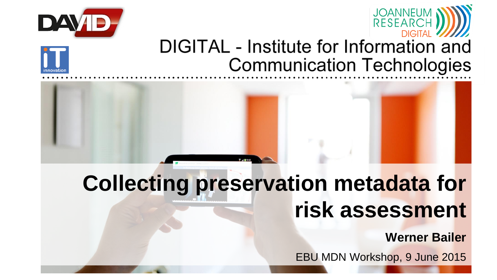







### **Collecting preservation metadata for risk assessment**

**Werner Bailer**

EBU MDN Workshop, 9 June 2015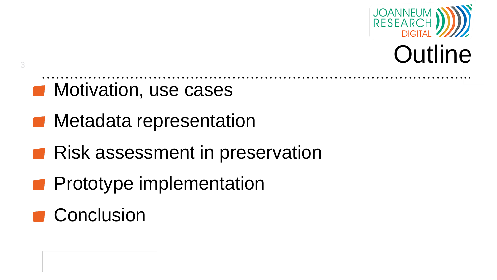

- **Motivation, use cases**
- **Metadata representation**
- Risk assessment in preservation
- **Prototype implementation**
- Conclusion

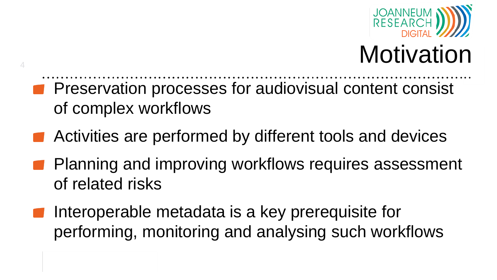

## **Motivation**

**Preservation processes for audiovisual content consist** of complex workflows

- Activities are performed by different tools and devices
- Planning and improving workflows requires assessment of related risks
- Interoperable metadata is a key prerequisite for performing, monitoring and analysing such workflows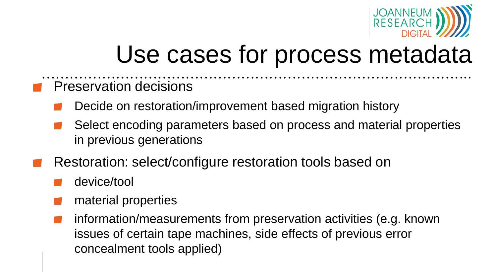

### Use cases for process metadata

- Preservation decisions
	- Decide on restoration/improvement based migration history
	- Select encoding parameters based on process and material properties in previous generations
- Restoration: select/configure restoration tools based on
	- device/tool
	- material properties
	- information/measurements from preservation activities (e.g. known issues of certain tape machines, side effects of previous error concealment tools applied)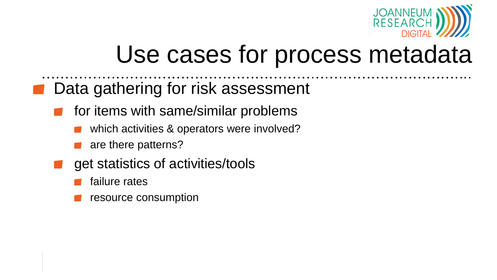

### Use cases for process metadata

- Data gathering for risk assessment
	- for items with same/similar problems
		- which activities & operators were involved?
		- are there patterns?
	- get statistics of activities/tools
		- failure rates
		- resource consumption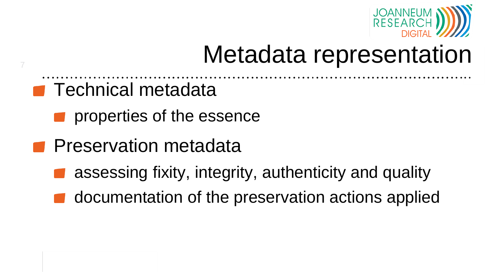

### Metadata representation

**Technical metadata** 

- **Part properties of the essence**
- **Preservation metadata** 
	- assessing fixity, integrity, authenticity and quality
	- documentation of the preservation actions applied

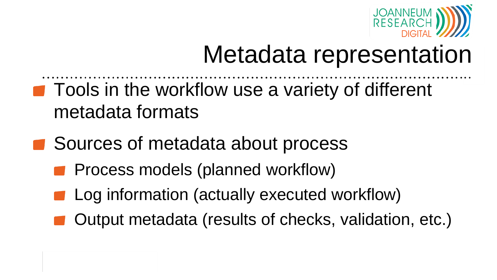

### Metadata representation

- Tools in the workflow use a variety of different metadata formats
- Sources of metadata about process
	- Process models (planned workflow)
	- Log information (actually executed workflow)
	- Output metadata (results of checks, validation, etc.)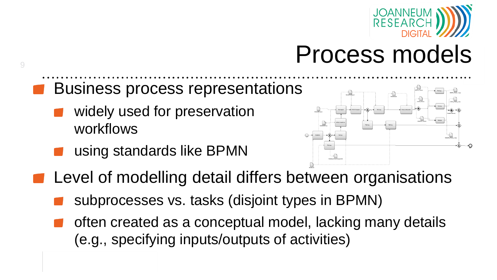

### Process models

#### Business process representations

- widely used for preservation workflows
- using standards like BPMN



- **Level of modelling detail differs between organisations** 
	- subprocesses vs. tasks (disjoint types in BPMN)
	- often created as a conceptual model, lacking many details (e.g., specifying inputs/outputs of activities)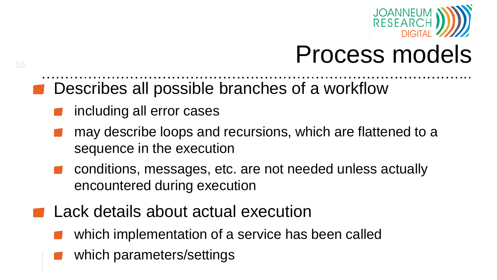

### Process models

- Describes all possible branches of a workflow
	- including all error cases

- may describe loops and recursions, which are flattened to a sequence in the execution
- conditions, messages, etc. are not needed unless actually encountered during execution
- **Lack details about actual execution** 
	- which implementation of a service has been called
	- which parameters/settings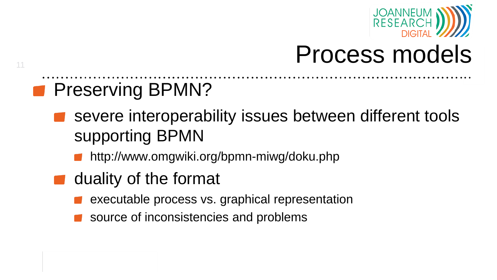

### Process models

### **Preserving BPMN?**

- severe interoperability issues between different tools supporting BPMN
	- **http://www.omgwiki.org/bpmn-miwg/doku.php**
- $\blacksquare$  duality of the format
	- executable process vs. graphical representation
	- source of inconsistencies and problems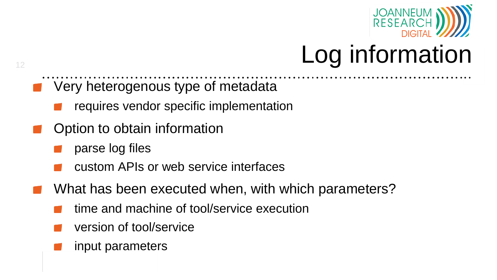

## Log information

- **Very heterogenous type of metadata** 
	- requires vendor specific implementation
- Option to obtain information
	- parse log files

- custom APIs or web service interfaces
- What has been executed when, with which parameters?
	- time and machine of tool/service execution
	- version of tool/service
	- input parameters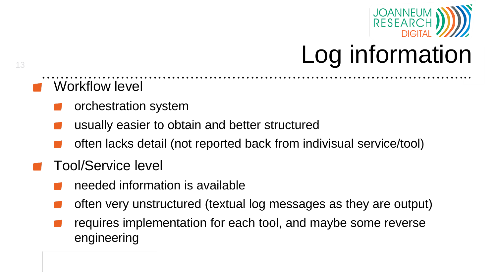

## Log information

- Workflow level
	- orchestration system
	- usually easier to obtain and better structured
	- often lacks detail (not reported back from indivisual service/tool)
- Tool/Service level
	- needed information is available
	- often very unstructured (textual log messages as they are output)
	- requires implementation for each tool, and maybe some reverse engineering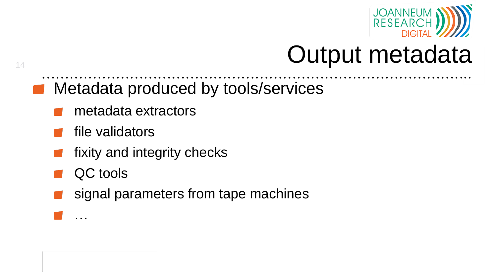

### Output metadata

- **Metadata produced by tools/services** 
	- metadata extractors
	- file validators
	- fixity and integrity checks
	- QC tools

…

14

signal parameters from tape machines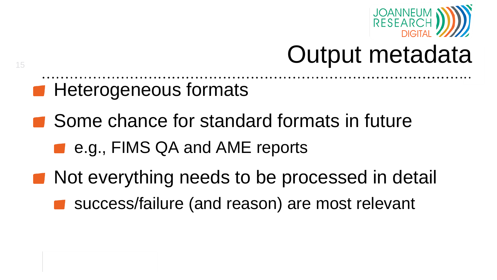

### Output metadata

- **Heterogeneous formats**
- Some chance for standard formats in future
	- e.g., FIMS QA and AME reports
- Not everything needs to be processed in detail
	- success/failure (and reason) are most relevant

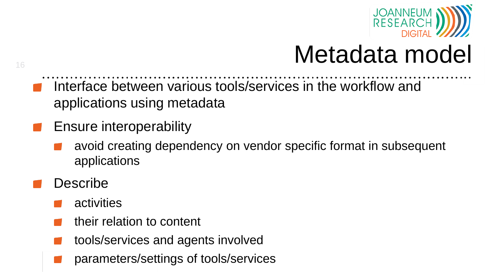

## Metadata model

- Interface between various tools/services in the workflow and applications using metadata
- Ensure interoperability
	- avoid creating dependency on vendor specific format in subsequent applications
- Describe

- activities
- their relation to content
- tools/services and agents involved
- parameters/settings of tools/services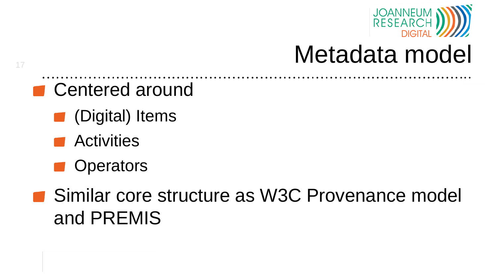

### Metadata model

- Centered around
	- (Digital) Items
	- **Readibilities**

- **Operators**
- Similar core structure as W3C Provenance model and PREMIS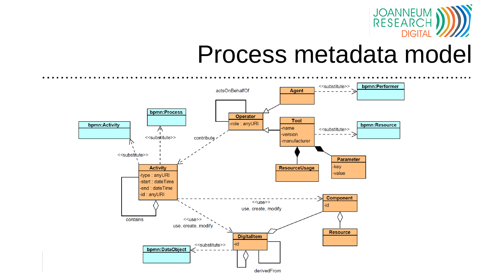

### Process metadata model

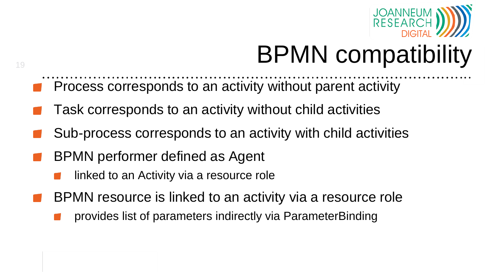

## BPMN compatibility

- Process corresponds to an activity without parent activity
- Task corresponds to an activity without child activities
- Sub-process corresponds to an activity with child activities
- BPMN performer defined as Agent

- linked to an Activity via a resource role
- BPMN resource is linked to an activity via a resource role
	- provides list of parameters indirectly via ParameterBinding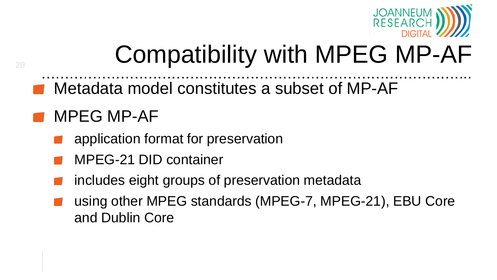

## Compatibility with MPEG MP-AF

Metadata model constitutes a subset of MP-AF

#### MPEG MP-AF

- application format for preservation
- MPEG-21 DID container
- includes eight groups of preservation metadata
- using other MPEG standards (MPEG-7, MPEG-21), EBU Core and Dublin Core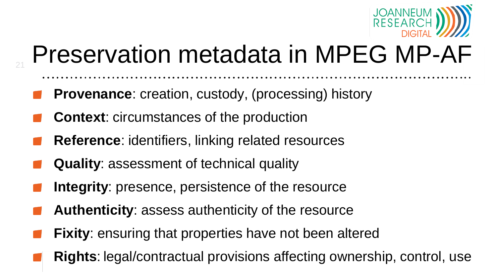

## Preservation metadata in MPEG MP-AF

- **Provenance**: creation, custody, (processing) history
- **Context**: circumstances of the production

- **Reference**: identifiers, linking related resources
- **Quality**: assessment of technical quality
- **Integrity**: presence, persistence of the resource
- **Authenticity**: assess authenticity of the resource
- **Fixity**: ensuring that properties have not been altered
- **Rights**: legal/contractual provisions affecting ownership, control, use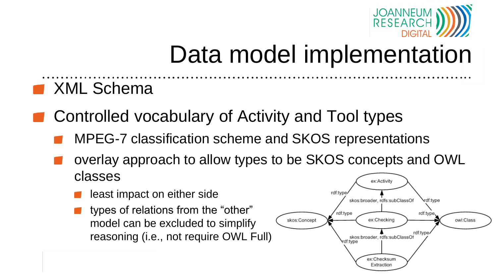

### Data model implementation

#### **XML Schema**

- Controlled vocabulary of Activity and Tool types
	- MPEG-7 classification scheme and SKOS representations
	- overlay approach to allow types to be SKOS concepts and OWL classes ex:Activity
		- least impact on either side
		- **types of relations from the "other"** model can be excluded to simplify reasoning (i.e., not require OWL Full)

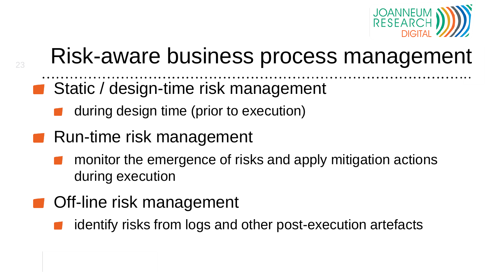

### Risk-aware business process management

- Static / design-time risk management
	- during design time (prior to execution)
- Run-time risk management

- monitor the emergence of risks and apply mitigation actions during execution
- **Off-line risk management** 
	- identify risks from logs and other post-execution artefacts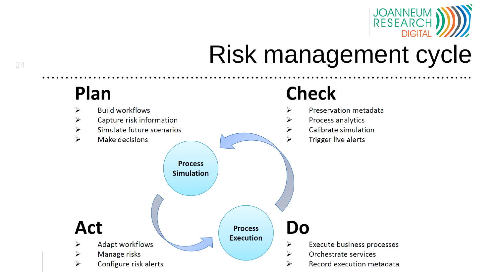

## **24 Risk management cycle**

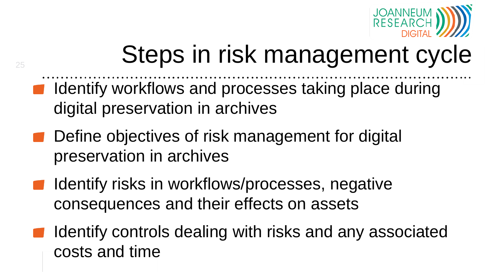

## Steps in risk management cycle

- Identify workflows and processes taking place during digital preservation in archives
- Define objectives of risk management for digital preservation in archives

- Identify risks in workflows/processes, negative consequences and their effects on assets
- Identify controls dealing with risks and any associated costs and time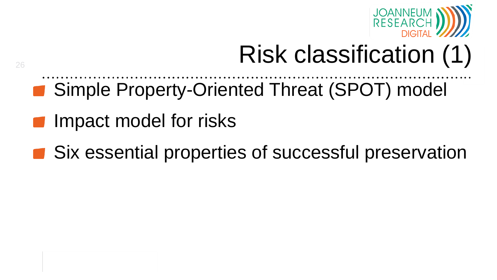

# Risk classification (1)

- Simple Property-Oriented Threat (SPOT) model
- Impact model for risks

26

■ Six essential properties of successful preservation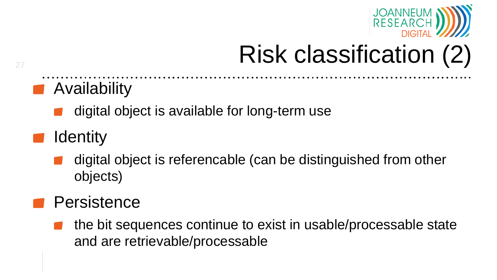

## Risk classification (2)

### **Availability**

digital object is available for long-term use

#### **Identity**

digital object is referencable (can be distinguished from other objects)

#### **Persistence**

the bit sequences continue to exist in usable/processable state and are retrievable/processable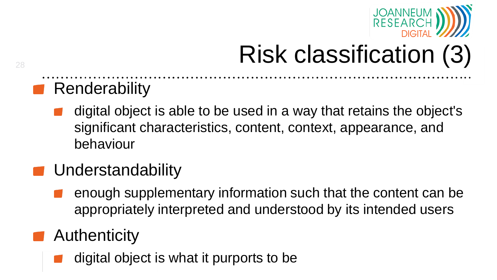

## Risk classification (3)

#### **Renderability**

digital object is able to be used in a way that retains the object's significant characteristics, content, context, appearance, and behaviour

#### **Understandability**

enough supplementary information such that the content can be appropriately interpreted and understood by its intended users

#### **Authenticity**

digital object is what it purports to be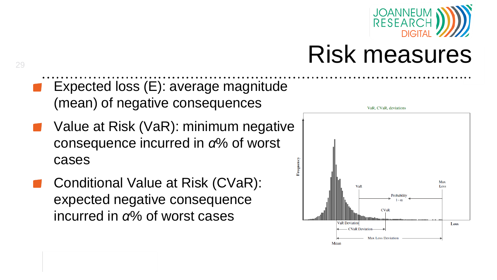

### Risk measures

Expected loss (E): average magnitude (mean) of negative consequences

- Value at Risk (VaR): minimum negative consequence incurred in *α*% of worst cases
- Conditional Value at Risk (CVaR): expected negative consequence incurred in *α*% of worst cases

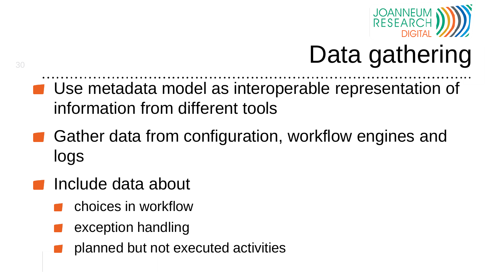

## Data gathering

- Use metadata model as interoperable representation of information from different tools
- Gather data from configuration, workflow engines and logs
- $\blacksquare$  Include data about
	- choices in workflow
	- exception handling
	- planned but not executed activities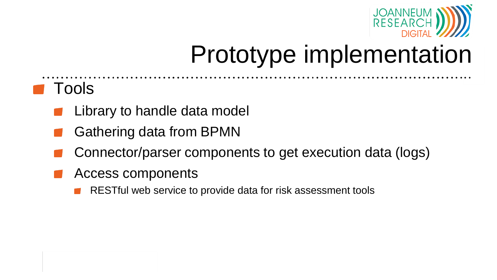

#### Tools

- Library to handle data model
- Gathering data from BPMN
- Connector/parser components to get execution data (logs)
- Access components
	- RESTful web service to provide data for risk assessment tools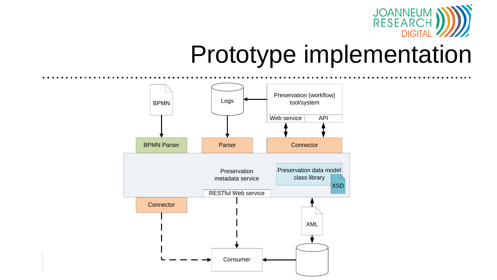

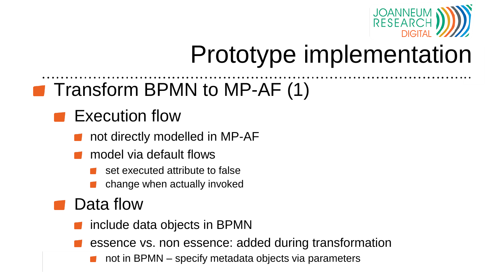

### **T** Transform BPMN to MP-AF (1)

#### **Execution flow**

- not directly modelled in MP-AF
- model via default flows
	- set executed attribute to false
	- change when actually invoked

#### Data flow

- include data objects in BPMN
- essence vs. non essence: added during transformation
	- not in BPMN specify metadata objects via parameters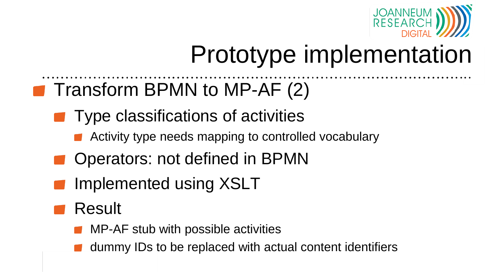

### **T** Transform BPMN to MP-AF (2)

- **Type classifications of activities** 
	- Activity type needs mapping to controlled vocabulary
- Operators: not defined in BPMN
- Implemented using XSLT
- Result
	- MP-AF stub with possible activities
	- dummy IDs to be replaced with actual content identifiers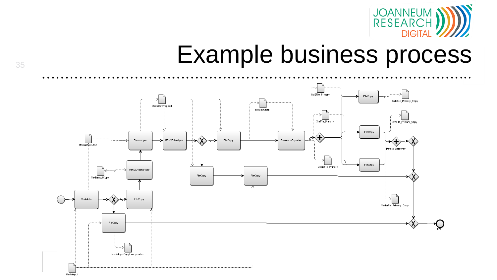

# **Example business process**

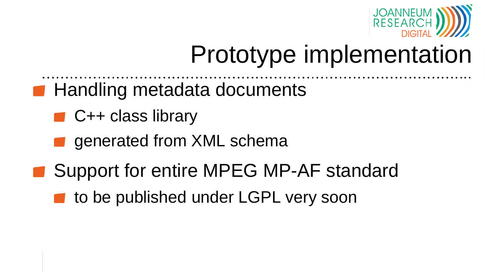

- **Handling metadata documents** 
	- $\blacksquare$  C++ class library
	- generated from XML schema
- Support for entire MPEG MP-AF standard
	- to be published under LGPL very soon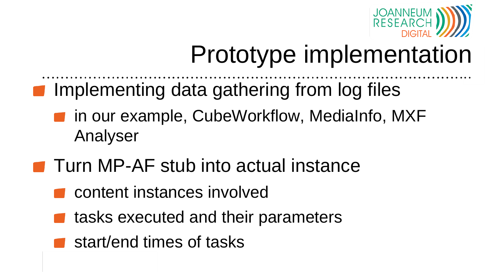

- **Implementing data gathering from log files** 
	- **n** in our example, CubeWorkflow, MediaInfo, MXF Analyser
- **T** Turn MP-AF stub into actual instance
	- content instances involved
	- tasks executed and their parameters
	- start/end times of tasks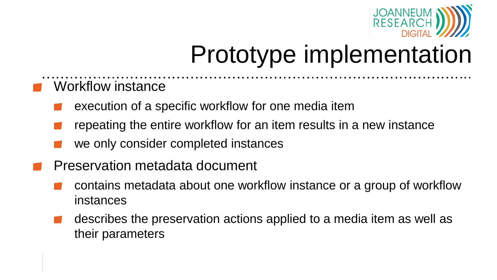

- Workflow instance
	- execution of a specific workflow for one media item
	- repeating the entire workflow for an item results in a new instance
	- we only consider completed instances
- Preservation metadata document
	- contains metadata about one workflow instance or a group of workflow instances
	- describes the preservation actions applied to a media item as well as their parameters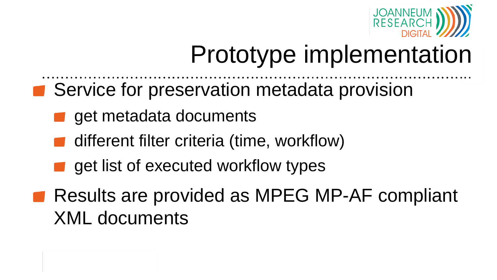

- Service for preservation metadata provision
	- get metadata documents
	- different filter criteria (time, workflow)
	- get list of executed workflow types
- Results are provided as MPEG MP-AF compliant XML documents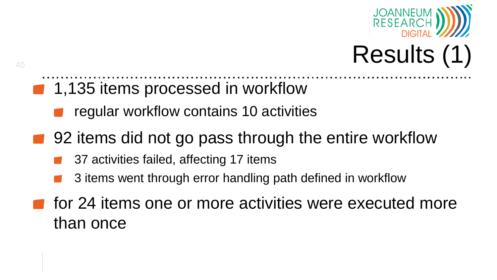



- 1,135 items processed in workflow
	- regular workflow contains 10 activities
- 92 items did not go pass through the entire workflow
	- 37 activities failed, affecting 17 items
	- 3 items went through error handling path defined in workflow
- for 24 items one or more activities were executed more than once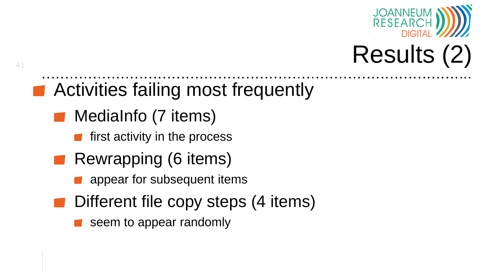



- Activities failing most frequently
	- MediaInfo (7 items)

- $\blacksquare$  first activity in the process
- **Rewrapping (6 items)** 
	- appear for subsequent items
- Different file copy steps (4 items)
	- seem to appear randomly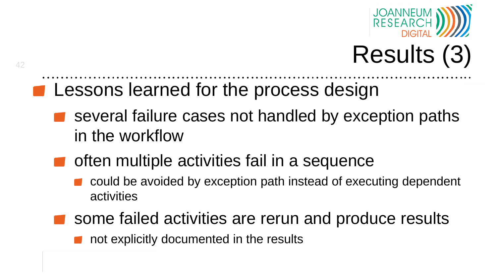

# Results (3)

- **EXTERGERITE LESSONS learned for the process design** 
	- several failure cases not handled by exception paths in the workflow
	- $\blacksquare$  often multiple activities fail in a sequence
		- could be avoided by exception path instead of executing dependent activities
		- some failed activities are rerun and produce results
			- not explicitly documented in the results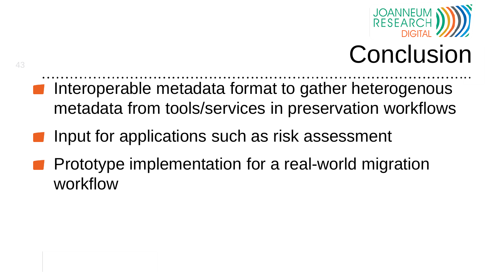

## Conclusion

- **Interoperable metadata format to gather heterogenous** metadata from tools/services in preservation workflows
- Input for applications such as risk assessment
- Prototype implementation for a real-world migration workflow